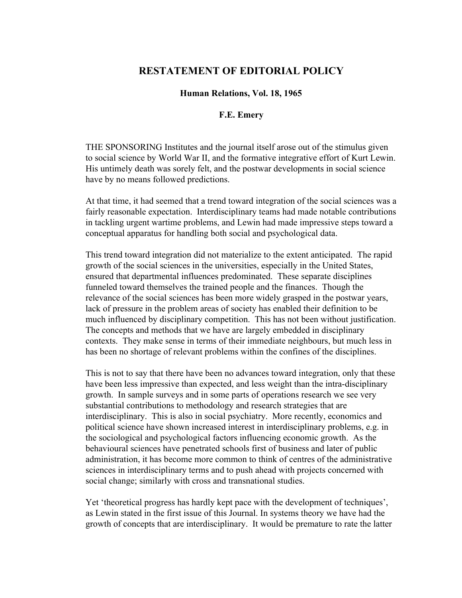## **RESTATEMENT OF EDITORIAL POLICY**

**Human Relations, Vol. 18, 1965**

## **F.E. Emery**

THE SPONSORING Institutes and the journal itself arose out of the stimulus given to social science by World War II, and the formative integrative effort of Kurt Lewin. His untimely death was sorely felt, and the postwar developments in social science have by no means followed predictions.

At that time, it had seemed that a trend toward integration of the social sciences was a fairly reasonable expectation. Interdisciplinary teams had made notable contributions in tackling urgent wartime problems, and Lewin had made impressive steps toward a conceptual apparatus for handling both social and psychological data.

This trend toward integration did not materialize to the extent anticipated. The rapid growth of the social sciences in the universities, especially in the United States, ensured that departmental influences predominated. These separate disciplines funneled toward themselves the trained people and the finances. Though the relevance of the social sciences has been more widely grasped in the postwar years, lack of pressure in the problem areas of society has enabled their definition to be much influenced by disciplinary competition. This has not been without justification. The concepts and methods that we have are largely embedded in disciplinary contexts. They make sense in terms of their immediate neighbours, but much less in has been no shortage of relevant problems within the confines of the disciplines.

This is not to say that there have been no advances toward integration, only that these have been less impressive than expected, and less weight than the intra-disciplinary growth. In sample surveys and in some parts of operations research we see very substantial contributions to methodology and research strategies that are interdisciplinary. This is also in social psychiatry. More recently, economics and political science have shown increased interest in interdisciplinary problems, e.g. in the sociological and psychological factors influencing economic growth. As the behavioural sciences have penetrated schools first of business and later of public administration, it has become more common to think of centres of the administrative sciences in interdisciplinary terms and to push ahead with projects concerned with social change; similarly with cross and transnational studies.

Yet 'theoretical progress has hardly kept pace with the development of techniques', as Lewin stated in the first issue of this Journal. In systems theory we have had the growth of concepts that are interdisciplinary. It would be premature to rate the latter